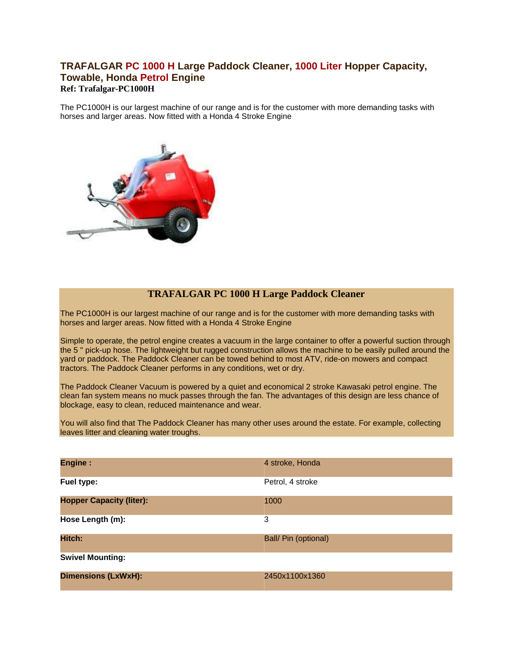## **TRAFALGAR PC 1000 H Large Paddock Cleaner, 1000 Liter Hopper Capacity, Towable, Honda Petrol Engine Ref: Trafalgar-PC1000H**

The PC1000H is our largest machine of our range and is for the customer with more demanding tasks with [horses and larger areas. Now fitted with a Ho](http://www.ukmowersdirect.co.uk/Products/PaddockCleaners/Trafalgar/PC1000/trafalgar_PC1000_500.jpg)nda 4 Stroke Engine



## **TRAFALGAR PC 1000 H Large Paddock Cleaner**

The PC1000H is our largest machine of our range and is for the customer with more demanding tasks with horses and larger areas. Now fitted with a Honda 4 Stroke Engine

Simple to operate, the petrol engine creates a vacuum in the large container to offer a powerful suction through the 5 " pick-up hose. The lightweight but rugged construction allows the machine to be easily pulled around the yard or paddock. The Paddock Cleaner can be towed behind to most ATV, ride-on mowers and compact tractors. The Paddock Cleaner performs in any conditions, wet or dry.

The Paddock Cleaner Vacuum is powered by a quiet and economical 2 stroke Kawasaki petrol engine. The clean fan system means no muck passes through the fan. The advantages of this design are less chance of blockage, easy to clean, reduced maintenance and wear.

You will also find that The Paddock Cleaner has many other uses around the estate. For example, collecting leaves litter and cleaning water troughs.

| <b>Engine:</b>                  | 4 stroke, Honda      |
|---------------------------------|----------------------|
| Fuel type:                      | Petrol, 4 stroke     |
| <b>Hopper Capacity (liter):</b> | 1000                 |
| Hose Length (m):                | 3                    |
| Hitch:                          | Ball/ Pin (optional) |
| <b>Swivel Mounting:</b>         |                      |
| <b>Dimensions (LxWxH):</b>      | 2450x1100x1360       |